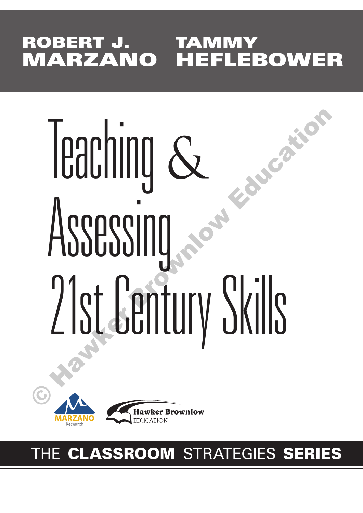# **ROBERT J. TAMMY MARZANO HEFLEBOWER**

# Teaching & Assessing 21st Century Skills Feaching &



# THE **CLASSROOM** STRATEGIES **SERIES**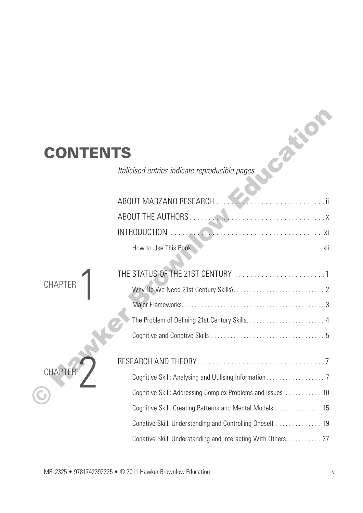## **CONTENTS**

| NTENTS         |                                                               |
|----------------|---------------------------------------------------------------|
|                | Italicised entries indicate reproducible pages.               |
|                | ABOUT MARZANO RESEARCH<br>. ii                                |
|                |                                                               |
|                |                                                               |
|                |                                                               |
| <b>CHAPTER</b> |                                                               |
|                |                                                               |
|                |                                                               |
|                |                                                               |
|                |                                                               |
| CHAF           |                                                               |
|                | Cognitive Skill: Addressing Complex Problems and Issues  10   |
|                | Cognitive Skill: Creating Patterns and Mental Models  15      |
|                |                                                               |
|                | Conative Skill: Understanding and Interacting With Others. 27 |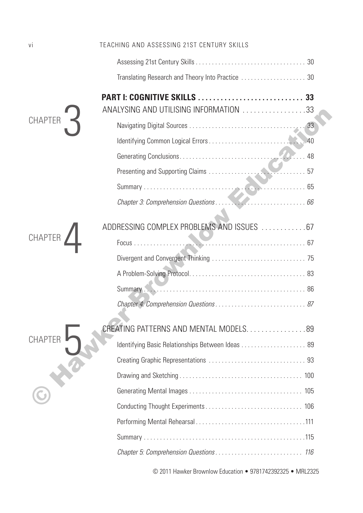| vi             | TEACHING AND ASSESSING 21ST CENTURY SKILLS                 |    |
|----------------|------------------------------------------------------------|----|
| <b>CHAPTER</b> |                                                            |    |
|                |                                                            |    |
|                | ANALYSING AND UTILISING INFORMATION 33                     |    |
|                |                                                            |    |
|                |                                                            | 40 |
|                |                                                            |    |
|                |                                                            |    |
|                |                                                            |    |
|                |                                                            |    |
|                | ADDRESSING COMPLEX PROBLEMS AND ISSUES  67                 |    |
| CHAPTER        |                                                            |    |
|                |                                                            |    |
|                |                                                            |    |
|                |                                                            |    |
|                |                                                            |    |
|                | CREATING PATTERNS AND MENTAL MODELS. 89                    |    |
| <b>CHAPTER</b> | Identifying Basic Relationships Between Ideas  89          |    |
|                |                                                            |    |
|                |                                                            |    |
|                |                                                            |    |
|                |                                                            |    |
|                |                                                            |    |
|                |                                                            |    |
|                |                                                            |    |
|                | © 2011 Hawker Brownlow Education • 9781742392325 • MRL2325 |    |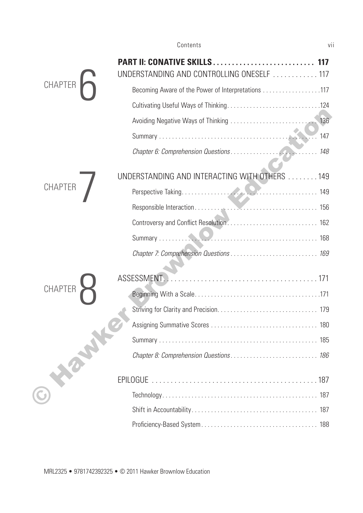|                | PART II: CONATIVE SKILLS<br>UNDERSTANDING AND CONTROLLING ONESELF  117 | 117 |
|----------------|------------------------------------------------------------------------|-----|
| <b>CHAPTER</b> | Becoming Aware of the Power of Interpretations 117                     |     |
|                |                                                                        |     |
|                |                                                                        |     |
|                |                                                                        | 147 |
|                |                                                                        |     |
|                | UNDERSTANDING AND INTERACTING WITH OTHERS  149                         |     |
| <b>CHAPTER</b> |                                                                        |     |
|                |                                                                        |     |
|                |                                                                        |     |
|                |                                                                        |     |
|                |                                                                        |     |
|                | ASSESSMENT.                                                            |     |
| <b>CHAPTER</b> |                                                                        |     |
|                |                                                                        |     |
|                |                                                                        |     |
|                |                                                                        |     |
|                |                                                                        |     |
|                |                                                                        |     |
|                |                                                                        |     |
|                |                                                                        |     |
|                |                                                                        |     |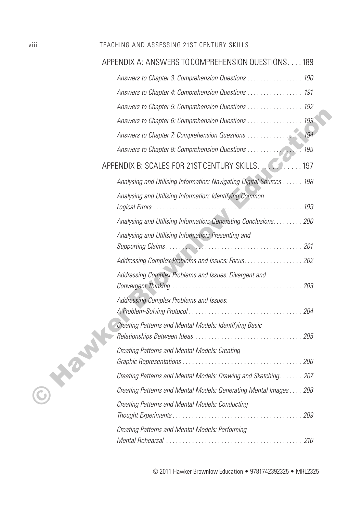#### viii TEACHING AND ASSESSING 21ST CENTURY SKILLS

| APPENDIX A: ANSWERS TO COMPREHENSION QUESTIONS189                    |     |
|----------------------------------------------------------------------|-----|
| Answers to Chapter 3: Comprehension Questions 190                    |     |
| Answers to Chapter 4: Comprehension Questions 191                    |     |
| Answers to Chapter 5: Comprehension Questions 192                    |     |
| Answers to Chapter 6: Comprehension Questions 193                    |     |
| Answers to Chapter 7: Comprehension Questions 194                    |     |
| Answers to Chapter 8: Comprehension Questions                        | 195 |
|                                                                      |     |
| Analysing and Utilising Information: Navigating Digital Sources  198 |     |
| Analysing and Utilising Information: Identifying Common              |     |
| Analysing and Utilising Information: Generating Conclusions. 200     |     |
| Analysing and Utilising Information: Presenting and                  |     |
| Addressing Complex Problems and Issues: Focus. 202                   |     |
| Addressing Complex Problems and Issues: Divergent and                | 203 |
| Addressing Complex Problems and Issues:                              |     |
| Creating Patterns and Mental Models: Identifying Basic               |     |
| Creating Patterns and Mental Models: Creating                        |     |
| Creating Patterns and Mental Models: Drawing and Sketching 207       |     |
| Creating Patterns and Mental Models: Generating Mental Images 208    |     |
| Creating Patterns and Mental Models: Conducting                      |     |
| Creating Patterns and Mental Models: Performing                      |     |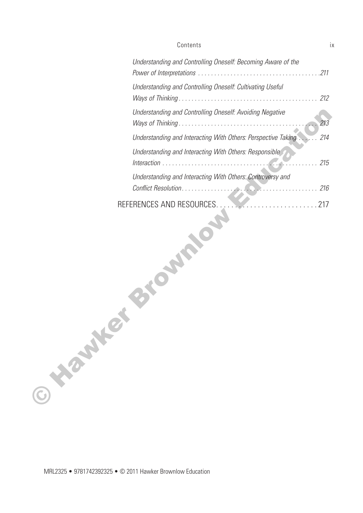#### Contents ix

|                | Understanding and Controlling Oneself: Becoming Aware of the       |     |
|----------------|--------------------------------------------------------------------|-----|
|                | Understanding and Controlling Oneself: Cultivating Useful          |     |
|                | Understanding and Controlling Oneself: Avoiding Negative           | 213 |
|                | Understanding and Interacting With Others: Perspective Taking  214 |     |
|                | Understanding and Interacting With Others: Responsible             | 215 |
|                | Understanding and Interacting With Others: Controversy and         |     |
| <b>ONEWAYE</b> |                                                                    |     |

MRL2325 • 9781742392325 • © 2011 Hawker Brownlow Education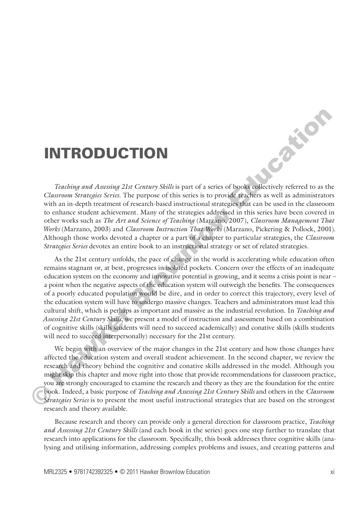## **INTRODUCTION**

**TEACHER ASSESSING AND CONTROLLER CONTROLLER CONTROLLER CONTROLLER CONTROLLER CONTROLLER CONTROLLER CONTROLLER CONTROLLER CONTROLLER CONTROLLER CONTROLLER CONTROLLER CONTROLLER CONTROLLER CONTROLLER CONTROLLER CONTROLLER C** *Classroom Strategies Series.* The purpose of this series is to provide teachers as well as administrators with an in-depth treatment of research-based instructional strategies that can be used in the classroom to enhance student achievement. Many of the strategies addressed in this series have been covered in other works such as *The Art and Science of Teaching* (Marzano, 2007), *Classroom Management That Works* (Marzano, 2003) and *Classroom Instruction That Works* (Marzano, Pickering & Pollock, 2001). Although those works devoted a chapter or a part of a chapter to particular strategies, the *Classroom Strategies Series* devotes an entire book to an instructional strategy or set of related strategies.

As the 21st century unfolds, the pace of change in the world is accelerating while education often remains stagnant or, at best, progresses in isolated pockets. Concern over the effects of an inadequate education system on the economy and innovative potential is growing, and it seems a crisis point is near – a point when the negative aspects of the education system will outweigh the benefits. The consequences of a poorly educated population would be dire, and in order to correct this trajectory, every level of the education system will have to undergo massive changes. Teachers and administrators must lead this cultural shift, which is perhaps as important and massive as the industrial revolution. In *Teaching and Assessing 21st Century Skills*, we present a model of instruction and assessment based on a combination of cognitive skills (skills students will need to succeed academically) and conative skills (skills students will need to succeed interpersonally) necessary for the 21st century. **INTRODUCTION**<br>
Traching and Austring Dat Century Skills is part of a series of books callectively referred to as the *Classroom Strangies Series*. The purpose of this series is to provide deachers as well as administrato

We begin with an overview of the major changes in the 21st century and how those changes have affected the education system and overall student achievement. In the second chapter, we review the research and theory behind the cognitive and conative skills addressed in the model. Although you might skip this chapter and move right into those that provide recommendations for classroom practice, you are strongly encouraged to examine the research and theory as they are the foundation for the entire book. Indeed, a basic purpose of *Teaching and Assessing 21st Century Skills* and others in the *Classroom Strategies Series* is to present the most useful instructional strategies that are based on the strongest research and theory available.

Because research and theory can provide only a general direction for classroom practice, *Teaching and Assessing 21st Century Skills* (and each book in the series) goes one step further to translate that research into applications for the classroom. Specifically, this book addresses three cognitive skills (analysing and utilising information, addressing complex problems and issues, and creating patterns and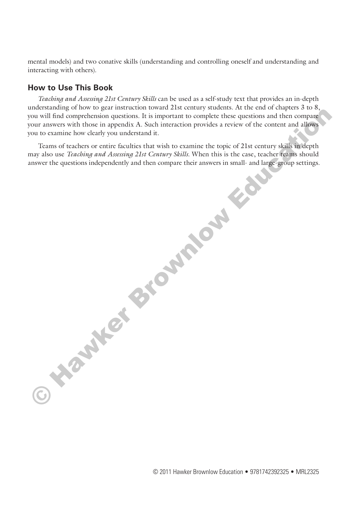mental models) and two conative skills (understanding and controlling oneself and understanding and interacting with others).

#### **How to Use This Book**

*Teaching and Assessing 21st Century Skills* can be used as a self-study text that provides an in-depth understanding of how to gear instruction toward 21st century students. At the end of chapters 3 to 8, you will find comprehension questions. It is important to complete these questions and then compare your answers with those in appendix A. Such interaction provides a review of the content and allows you to examine how clearly you understand it.

Teams of teachers or entire faculties that wish to examine the topic of 21st century skills in depth may also use *Teaching and Assessing 21st Century Skills.* When this is the case, teacher teams should answer the questions independently and then compare their answers in small- and large-group settings. **CAMER BROWNLOW EDUCATION** 

© 2011 Hawker Brownlow Education • 9781742392325 • MRL2325